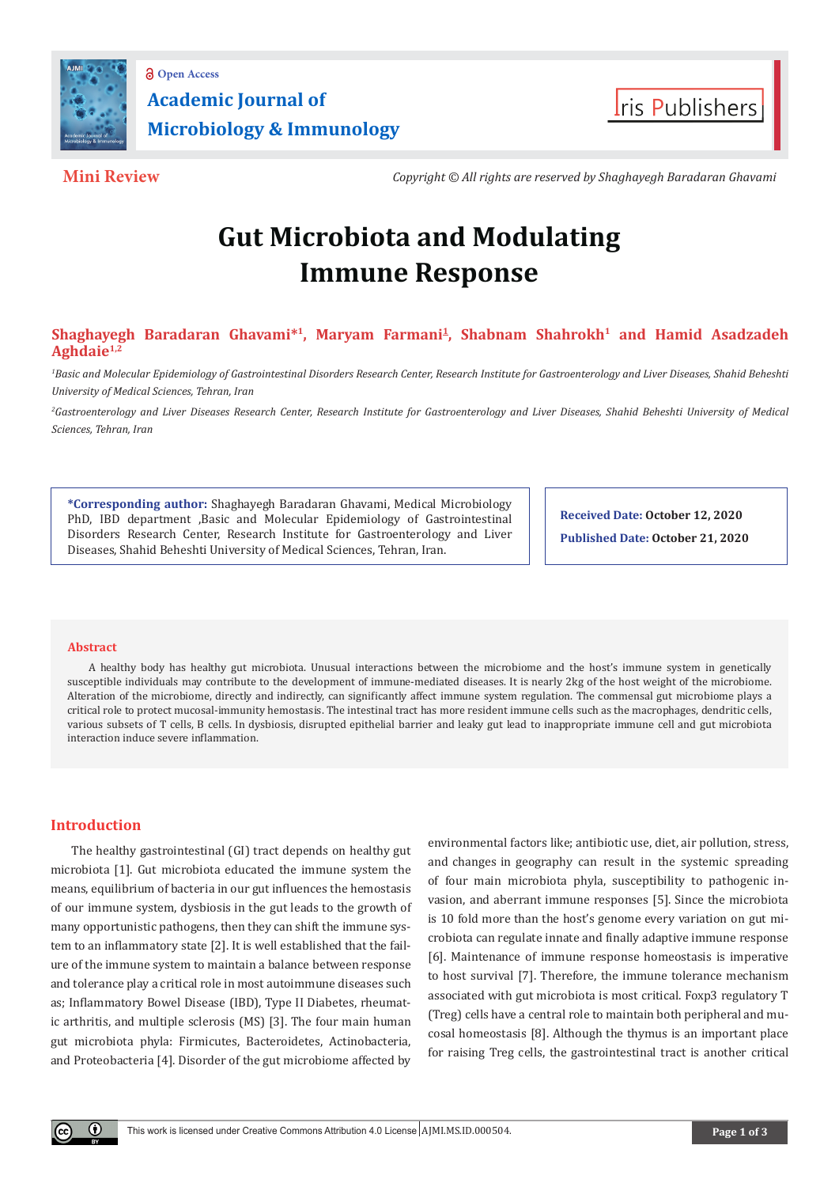



**Mini Review** *Copyright © All rights are reserved by Shaghayegh Baradaran Ghavami*

# **Gut Microbiota and Modulating Immune Response**

## Shaghayegh Baradaran Ghavami<sup>\*1</sup>, Maryam Farmani<sup>1</sup>, Shabnam Shahrokh<sup>1</sup> and Hamid Asadzadeh **Aghdaie1,2**

*1 Basic and Molecular Epidemiology of Gastrointestinal Disorders Research Center, Research Institute for Gastroenterology and Liver Diseases, Shahid Beheshti University of Medical Sciences, Tehran, Iran*

*2 Gastroenterology and Liver Diseases Research Center, Research Institute for Gastroenterology and Liver Diseases, Shahid Beheshti University of Medical Sciences, Tehran, Iran*

**\*Corresponding author:** Shaghayegh Baradaran Ghavami, Medical Microbiology PhD, IBD department ,Basic and Molecular Epidemiology of Gastrointestinal Disorders Research Center, Research Institute for Gastroenterology and Liver Diseases, Shahid Beheshti University of Medical Sciences, Tehran, Iran.

**Received Date: October 12, 2020 Published Date: October 21, 2020**

#### **Abstract**

A healthy body has healthy gut microbiota. Unusual interactions between the microbiome and the host's immune system in genetically susceptible individuals may contribute to the development of immune-mediated diseases. It is nearly 2kg of the host weight of the microbiome. Alteration of the microbiome, directly and indirectly, can significantly affect immune system regulation. The commensal gut microbiome plays a critical role to protect mucosal-immunity hemostasis. The intestinal tract has more resident immune cells such as the macrophages, dendritic cells, various subsets of T cells, B cells. In dysbiosis, disrupted epithelial barrier and leaky gut lead to inappropriate immune cell and gut microbiota interaction induce severe inflammation.

### **Introduction**

The healthy gastrointestinal (GI) tract depends on healthy gut microbiota [1]. Gut microbiota educated the immune system the means, equilibrium of bacteria in our gut influences the hemostasis of our immune system, dysbiosis in the gut leads to the growth of many opportunistic pathogens, then they can shift the immune system to an inflammatory state [2]. It is well established that the failure of the immune system to maintain a balance between response and tolerance play a critical role in most autoimmune diseases such as; Inflammatory Bowel Disease (IBD), Type II Diabetes, rheumatic arthritis, and multiple sclerosis (MS) [3]. The four main human gut microbiota phyla: Firmicutes, Bacteroidetes, Actinobacteria, and Proteobacteria [4]. Disorder of the gut microbiome affected by

environmental factors like; antibiotic use, diet, air pollution, stress, and changes in geography can result in the systemic spreading of four main microbiota phyla, susceptibility to pathogenic invasion, and aberrant immune responses [5]. Since the microbiota is 10 fold more than the host's genome every variation on gut microbiota can regulate innate and finally adaptive immune response [6]. Maintenance of immune response homeostasis is imperative to host survival [7]. Therefore, the immune tolerance mechanism associated with gut microbiota is most critical. Foxp3 regulatory T (Treg) cells have a central role to maintain both peripheral and mucosal homeostasis [8]. Although the thymus is an important place for raising Treg cells, the gastrointestinal tract is another critical

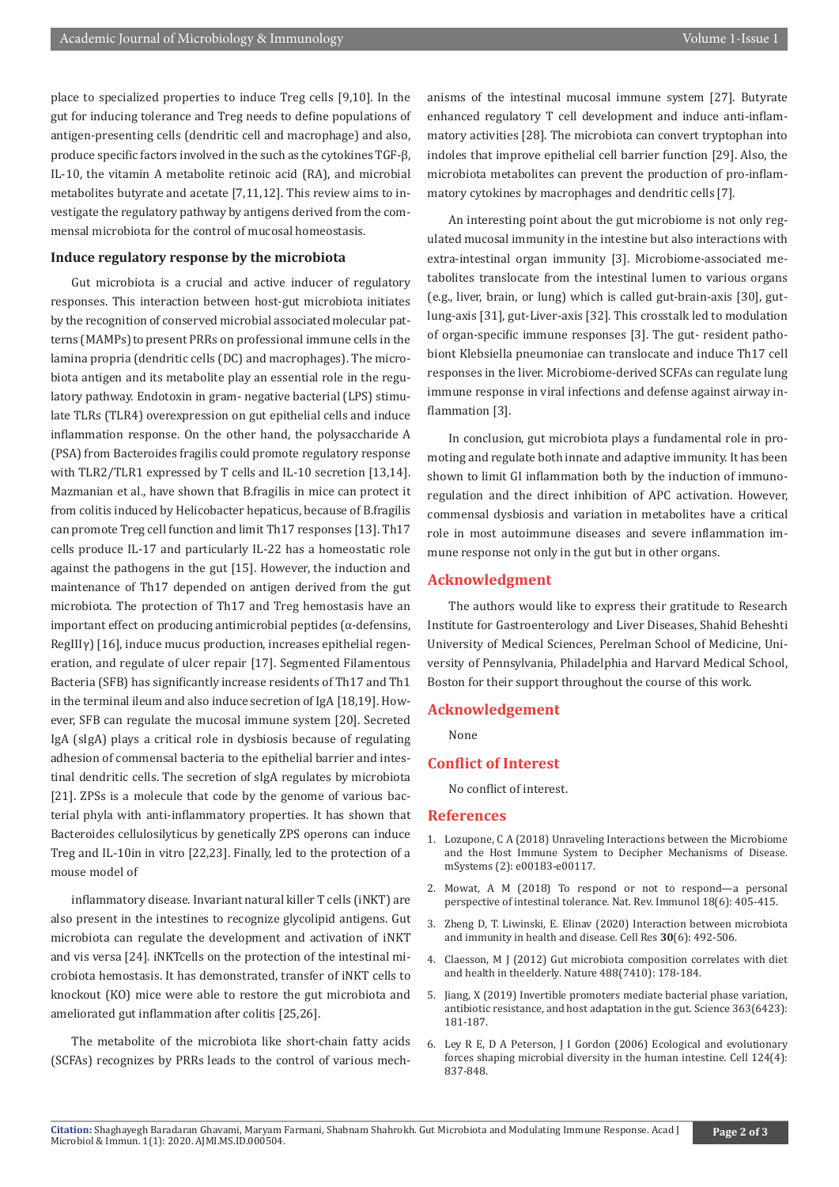place to specialized properties to induce Treg cells [9,10]. In the gut for inducing tolerance and Treg needs to define populations of antigen-presenting cells (dendritic cell and macrophage) and also, produce specific factors involved in the such as the cytokines TGF-β, IL-10, the vitamin A metabolite retinoic acid (RA), and microbial metabolites butyrate and acetate [7,11,12]. This review aims to investigate the regulatory pathway by antigens derived from the commensal microbiota for the control of mucosal homeostasis.

#### **Induce regulatory response by the microbiota**

Gut microbiota is a crucial and active inducer of regulatory responses. This interaction between host-gut microbiota initiates by the recognition of conserved microbial associated molecular patterns (MAMPs) to present PRRs on professional immune cells in the lamina propria (dendritic cells (DC) and macrophages). The microbiota antigen and its metabolite play an essential role in the regulatory pathway. Endotoxin in gram- negative bacterial (LPS) stimulate TLRs (TLR4) overexpression on gut epithelial cells and induce inflammation response. On the other hand, the polysaccharide A (PSA) from Bacteroides fragilis could promote regulatory response with TLR2/TLR1 expressed by T cells and IL-10 secretion [13,14]. Mazmanian et al., have shown that B.fragilis in mice can protect it from colitis induced by Helicobacter hepaticus, because of B.fragilis can promote Treg cell function and limit Th17 responses [13]. Th17 cells produce IL-17 and particularly IL-22 has a homeostatic role against the pathogens in the gut [15]. However, the induction and maintenance of Th17 depended on antigen derived from the gut microbiota. The protection of Th17 and Treg hemostasis have an important effect on producing antimicrobial peptides ( $\alpha$ -defensins, RegIIIγ) [16], induce mucus production, increases epithelial regeneration, and regulate of ulcer repair [17]. Segmented Filamentous Bacteria (SFB) has significantly increase residents of Th17 and Th1 in the terminal ileum and also induce secretion of IgA [18,19]. However, SFB can regulate the mucosal immune system [20]. Secreted IgA (sIgA) plays a critical role in dysbiosis because of regulating adhesion of commensal bacteria to the epithelial barrier and intestinal dendritic cells. The secretion of sIgA regulates by microbiota [21]. ZPSs is a molecule that code by the genome of various bacterial phyla with anti-inflammatory properties. It has shown that Bacteroides cellulosilyticus by genetically ZPS operons can induce Treg and IL-10in in vitro [22,23]. Finally, led to the protection of a mouse model of

inflammatory disease. Invariant natural killer T cells (iNKT) are also present in the intestines to recognize glycolipid antigens. Gut microbiota can regulate the development and activation of iNKT and vis versa [24]. iNKTcells on the protection of the intestinal microbiota hemostasis. It has demonstrated, transfer of iNKT cells to knockout (KO) mice were able to restore the gut microbiota and ameliorated gut inflammation after colitis [25,26].

The metabolite of the microbiota like short-chain fatty acids (SCFAs) recognizes by PRRs leads to the control of various mechanisms of the intestinal mucosal immune system [27]. Butyrate enhanced regulatory T cell development and induce anti-inflammatory activities [28]. The microbiota can convert tryptophan into indoles that improve epithelial cell barrier function [29]. Also, the microbiota metabolites can prevent the production of pro-inflammatory cytokines by macrophages and dendritic cells [7].

An interesting point about the gut microbiome is not only regulated mucosal immunity in the intestine but also interactions with extra-intestinal organ immunity [3]. Microbiome-associated metabolites translocate from the intestinal lumen to various organs (e.g., liver, brain, or lung) which is called gut-brain-axis [30], gutlung-axis [31], gut-Liver-axis [32]. This crosstalk led to modulation of organ-specific immune responses [3]. The gut- resident pathobiont Klebsiella pneumoniae can translocate and induce Th17 cell responses in the liver. Microbiome-derived SCFAs can regulate lung immune response in viral infections and defense against airway inflammation [3].

In conclusion, gut microbiota plays a fundamental role in promoting and regulate both innate and adaptive immunity. It has been shown to limit GI inflammation both by the induction of immunoregulation and the direct inhibition of APC activation. However, commensal dysbiosis and variation in metabolites have a critical role in most autoimmune diseases and severe inflammation immune response not only in the gut but in other organs.

#### **Acknowledgment**

The authors would like to express their gratitude to Research Institute for Gastroenterology and Liver Diseases, Shahid Beheshti University of Medical Sciences, Perelman School of Medicine, University of Pennsylvania, Philadelphia and Harvard Medical School, Boston for their support throughout the course of this work.

#### **Acknowledgement**

None

#### **Conflict of Interest**

No conflict of interest.

#### **References**

- 1. [Lozupone, C A \(2018\) Unraveling Interactions between the Microbiome](https://pubmed.ncbi.nlm.nih.gov/29556546/) [and the Host Immune System to Decipher Mechanisms of Disease](https://pubmed.ncbi.nlm.nih.gov/29556546/)*.*  [mSystems \(2\): e00183-e00117.](https://pubmed.ncbi.nlm.nih.gov/29556546/)
- 2. [Mowat, A M \(2018\) To respond or not to respond—a personal](https://www.nature.com/articles/s41577-018-0002-x) perspective of intestinal tolerance*.* [Nat. Rev. Immunol 18\(6\): 405-415.](https://www.nature.com/articles/s41577-018-0002-x)
- 3. [Zheng D, T. Liwinski, E. Elinav \(2020\) Interaction between microbiota](https://www.google.com/search?q=interaction+between+microbiota+and+immunity+in+health+and+disease&rlz=1C1CHBD_enIN861IN861&oq=Interaction+between+microbiota+and+immunity+in+health+and+disease&aqs=chrome.0.0i457j0i22i30l3.367j0j4&sourceid=chrome&ie=UTF-8) [and immunity in health and disease](https://www.google.com/search?q=interaction+between+microbiota+and+immunity+in+health+and+disease&rlz=1C1CHBD_enIN861IN861&oq=Interaction+between+microbiota+and+immunity+in+health+and+disease&aqs=chrome.0.0i457j0i22i30l3.367j0j4&sourceid=chrome&ie=UTF-8)*.* Cell Res **30**(6): 492-506.
- 4. [Claesson, M J \(2012\) Gut microbiota composition correlates with diet](https://www.nature.com/articles/nature11319) and health in theelderly*.* [Nature 488\(7410\): 178-184.](https://www.nature.com/articles/nature11319)
- 5. [Jiang, X \(2019\) Invertible promoters mediate bacterial phase variation,](https://science.sciencemag.org/content/363/6423/181) [antibiotic resistance, and host adaptation in the gut](https://science.sciencemag.org/content/363/6423/181)*.* Science 363(6423): [181-187.](https://science.sciencemag.org/content/363/6423/181)
- 6. [Ley R E, D A Peterson, J I Gordon \(2006\) Ecological and evolutionary](https://www.sciencedirect.com/science/article/pii/S0092867406001929) [forces shaping microbial diversity in the human intestine](https://www.sciencedirect.com/science/article/pii/S0092867406001929)*.* Cell 124(4): [837-848.](https://www.sciencedirect.com/science/article/pii/S0092867406001929)